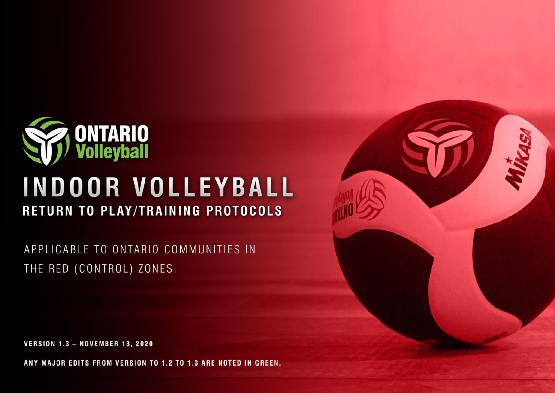

# **INDOOR VOLLEYBALL** RETURN TO PLAY/TRAINING PROTOCOLS

APPLICABLE TO ONTARIO COMMUNITIES IN THE RED (CONTROL) ZONES.

**VERSION 1.3 - NOVEMBER 13, 2020** 

ANY MAJOR EDITS FROM VERSION TO 1.2 TO 1.3 ARE NOTED IN GREEN.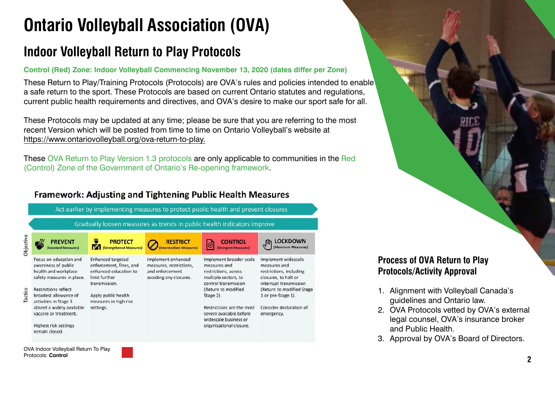## **Ontario Volleyball Association (OVA)**

## **Indoor Volleyball Return to Play Protocols**

#### **Control (Red) Zone: Indoor Volleyball Commencing November 13, 2020 (dates differ per Zone)**

These Return to Play/Training Protocols (Protocols) are OVA's rules and policies intended to enable a safe return to the sport. These Protocols are based on current Ontario statutes and regulations, current public health requirements and directives, and OVA's desire to make our sport safe for all.

These Protocols may be updated at any time; please be sure that you are referring to the most recent Version which will be posted from time to time on Ontario Volleyball's website at [https://www.ontariovolleyball.org/ova-return-to-play.](https://www.ontariovolleyball.org/ova-return-to-play)

These OVA Return to Play Version 1.3 protocols are only applicable to communities in the Red (Control) Zone of the Government of Ontario's Re-opening framework.

### **Framework: Adiusting and Tightening Public Health Measures**



Protocols: **Control**

### **Process of OVA Return to Play Protocols/Activity Approval**

- 1. Alignment with Volleyball Canada's guidelines and Ontario law.
- 2. OVA Protocols vetted by OVA's external legal counsel, OVA's insurance broker and Public Health.
- 3. Approval by OVA's Board of Directors.

**2**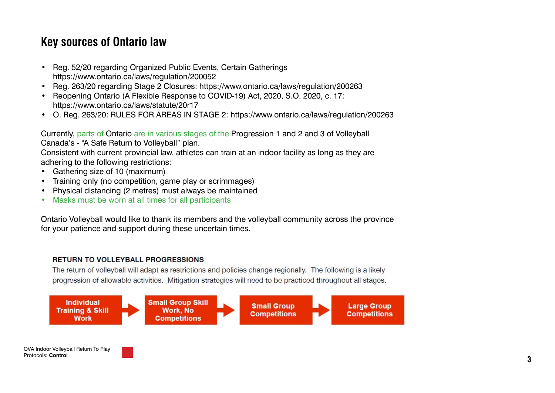## **Key sources of Ontario law**

- Reg. 52/20 regarding Organized Public Events, Certain Gatherings <https://www.ontario.ca/laws/regulation/200052>
- Reg. 263/20 regarding Stage 2 Closures: <https://www.ontario.ca/laws/regulation/200263>
- Reopening Ontario (A Flexible Response to COVID-19) Act, 2020, S.O. 2020, c. 17: <https://www.ontario.ca/laws/statute/20r17>
- O. Reg. 263/20: RULES FOR AREAS IN STAGE 2: <https://www.ontario.ca/laws/regulation/200263>

Currently, parts of Ontario are in various stages of the Progression 1 and 2 and 3 of Volleyball Canada's - "A Safe Return to Volleyball" plan.

Consistent with current provincial law, athletes can train at an indoor facility as long as they are adhering to the following restrictions:

- Gathering size of 10 (maximum)
- Training only (no competition, game play or scrimmages)
- Physical distancing (2 metres) must always be maintained
- Masks must be worn at all times for all participants

Ontario Volleyball would like to thank its members and the volleyball community across the province for your patience and support during these uncertain times.

#### RETURN TO VOLLEYBALL PROGRESSIONS

The return of volleyball will adapt as restrictions and policies change regionally. The following is a likely progression of allowable activities. Mitigation strategies will need to be practiced throughout all stages.

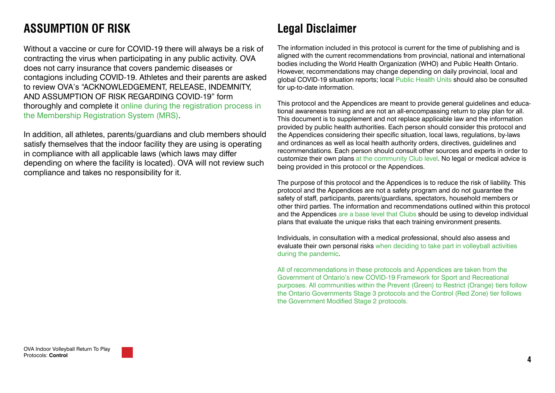## **ASSUMPTION OF RISK**

Without a vaccine or cure for COVID-19 there will always be a risk of contracting the virus when participating in any public activity. OVA does not carry insurance that covers pandemic diseases or contagions including COVID-19. Athletes and their parents are asked to review OVA's "ACKNOWLEDGEMENT, RELEASE, INDEMNITY, AND ASSUMPTION OF RISK REGARDING COVID-19" form thoroughly and complete it online during the registration process in the Membership Registration System (MRS).

In addition, all athletes, parents/guardians and club members should satisfy themselves that the indoor facility they are using is operating in compliance with all applicable laws (which laws may differ depending on where the facility is located). OVA will not review such compliance and takes no responsibility for it.

## **Legal Disclaimer**

The information included in this protocol is current for the time of publishing and is aligned with the current recommendations from provincial, national and international bodies including the World Health Organization (WHO) and Public Health Ontario. However, recommendations may change depending on daily provincial, local and global COVID-19 situation reports; local Public Health Units should also be consulted for up-to-date information.

This protocol and the Appendices are meant to provide general guidelines and educational awareness training and are not an all-encompassing return to play plan for all. This document is to supplement and not replace applicable law and the information provided by public health authorities. Each person should consider this protocol and the Appendices considering their specific situation, local laws, regulations, by-laws and ordinances as well as local health authority orders, directives, guidelines and recommendations. Each person should consult other sources and experts in order to customize their own plans at the community Club level. No legal or medical advice is being provided in this protocol or the Appendices.

The purpose of this protocol and the Appendices is to reduce the risk of liability. This protocol and the Appendices are not a safety program and do not guarantee the safety of staff, participants, parents/guardians, spectators, household members or other third parties. The information and recommendations outlined within this protocol and the Appendices are a base level that Clubs should be using to develop individual plans that evaluate the unique risks that each training environment presents.

Individuals, in consultation with a medical professional, should also assess and evaluate their own personal risks when deciding to take part in volleyball activities during the pandemic.

All of recommendations in these protocols and Appendices are taken from the Government of Ontario's new COVID-19 Framework for Sport and Recreational purposes. All communities within the Prevent (Green) to Restrict (Orange) tiers follow the Ontario Governments Stage 3 protocols and the Control (Red Zone) tier follows the Government Modified Stage 2 protocols.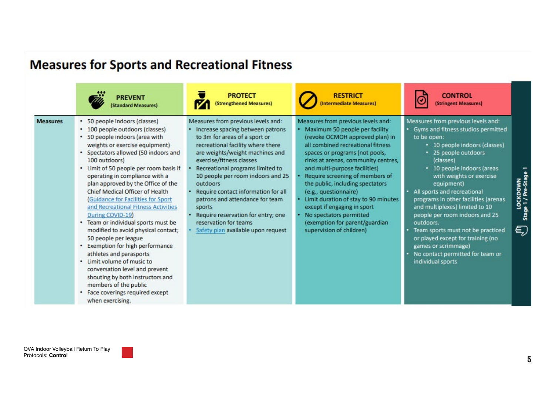|                 | <b>PREVENT</b>                                                                                                                                                                                                                                                                                                                                                                                                                                                                                                                                                                                                                                                                                                                                                                                              | <b>PROTECT</b>                                                                                                                                                                                                                                                                                                                                                                                                                                                                            | <b>RESTRICT</b>                                                                                                                                                                                                                                                                                                                                                                                                                                                                                                        | <b>CONTROL</b>                                                                                                                                                                                                                                                                                                                                                                                                                                                                                                                                            |
|-----------------|-------------------------------------------------------------------------------------------------------------------------------------------------------------------------------------------------------------------------------------------------------------------------------------------------------------------------------------------------------------------------------------------------------------------------------------------------------------------------------------------------------------------------------------------------------------------------------------------------------------------------------------------------------------------------------------------------------------------------------------------------------------------------------------------------------------|-------------------------------------------------------------------------------------------------------------------------------------------------------------------------------------------------------------------------------------------------------------------------------------------------------------------------------------------------------------------------------------------------------------------------------------------------------------------------------------------|------------------------------------------------------------------------------------------------------------------------------------------------------------------------------------------------------------------------------------------------------------------------------------------------------------------------------------------------------------------------------------------------------------------------------------------------------------------------------------------------------------------------|-----------------------------------------------------------------------------------------------------------------------------------------------------------------------------------------------------------------------------------------------------------------------------------------------------------------------------------------------------------------------------------------------------------------------------------------------------------------------------------------------------------------------------------------------------------|
|                 | (Standard Measures)                                                                                                                                                                                                                                                                                                                                                                                                                                                                                                                                                                                                                                                                                                                                                                                         | (Strengthened Measures)                                                                                                                                                                                                                                                                                                                                                                                                                                                                   | Intermediate Measures)                                                                                                                                                                                                                                                                                                                                                                                                                                                                                                 | (Stringent Measures)                                                                                                                                                                                                                                                                                                                                                                                                                                                                                                                                      |
| <b>Measures</b> | • 50 people indoors (classes)<br>• 100 people outdoors (classes)<br>• 50 people indoors (area with<br>weights or exercise equipment)<br>• Spectators allowed (50 indoors and<br>100 outdoors)<br>• Limit of 50 people per room basis if<br>operating in compliance with a<br>plan approved by the Office of the<br>Chief Medical Officer of Health<br>(Guidance for Facilities for Sport<br>and Recreational Fitness Activities<br>During COVID-19)<br>• Team or individual sports must be<br>modified to avoid physical contact;<br>50 people per league<br>Exemption for high performance<br>athletes and parasports<br>• Limit volume of music to<br>conversation level and prevent<br>shouting by both instructors and<br>members of the public<br>• Face coverings required except<br>when exercising. | Measures from previous levels and:<br>Increase spacing between patrons<br>to 3m for areas of a sport or<br>recreational facility where there<br>are weights/weight machines and<br>exercise/fitness classes<br>Recreational programs limited to<br>10 people per room indoors and 25<br>outdoors<br>Require contact information for all<br>patrons and attendance for team<br>sports<br>Require reservation for entry; one<br>reservation for teams<br>Safety plan available upon request | Measures from previous levels and:<br>Maximum 50 people per facility<br>(revoke OCMOH approved plan) in<br>all combined recreational fitness<br>spaces or programs (not pools,<br>rinks at arenas, community centres,<br>and multi-purpose facilities)<br>Require screening of members of<br>the public, including spectators<br>(e.g., questionnaire)<br>Limit duration of stay to 90 minutes<br>except if engaging in sport<br>No spectators permitted<br>(exemption for parent/guardian<br>supervision of children) | Measures from previous levels and:<br>· Gyms and fitness studios permitted<br>to be open:<br>• 10 people indoors (classes)<br>• 25 people outdoors<br>(classes)<br>• 10 people indoors (areas<br>with weights or exercise<br>equipment)<br>All sports and recreational<br>programs in other facilities (arenas<br>and multiplexes) limited to 10<br>people per room indoors and 25<br>outdoors.<br>Team sports must not be practiced<br>or played except for training (no<br>games or scrimmage)<br>No contact permitted for team or<br>individual sports |

## **Measures for Sports and Recreational Fitness**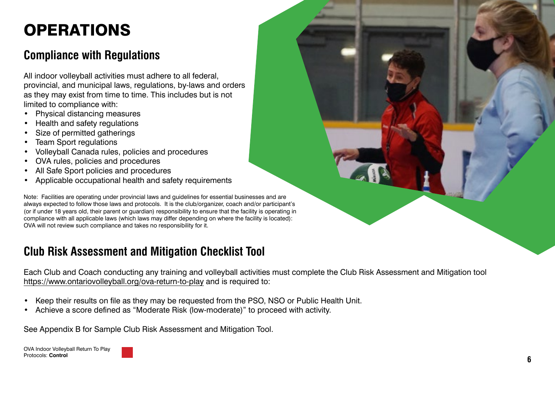## **OPERATIONS**

## **Compliance with Regulations**

All indoor volleyball activities must adhere to all federal, provincial, and municipal laws, regulations, by-laws and orders as they may exist from time to time. This includes but is not limited to compliance with:

- Physical distancing measures
- Health and safety regulations
- Size of permitted gatherings
- Team Sport regulations
- Volleyball Canada rules, policies and procedures
- OVA rules, policies and procedures
- All Safe Sport policies and procedures
- Applicable occupational health and safety requirements

Note: Facilities are operating under provincial laws and guidelines for essential businesses and are always expected to follow those laws and protocols. It is the club/organizer, coach and/or participant's (or if under 18 years old, their parent or guardian) responsibility to ensure that the facility is operating in compliance with all applicable laws (which laws may differ depending on where the facility is located): OVA will not review such compliance and takes no responsibility for it.

## **Club Risk Assessment and Mitigation Checklist Tool**

Each Club and Coach conducting any training and volleyball activities must complete the Club Risk Assessment and Mitigation tool <https://www.ontariovolleyball.org/ova-return-to-play> and is required to:

- Keep their results on file as they may be requested from the PSO, NSO or Public Health Unit.
- Achieve a score defined as "Moderate Risk (low-moderate)" to proceed with activity.

See Appendix B for Sample Club Risk Assessment and Mitigation Tool.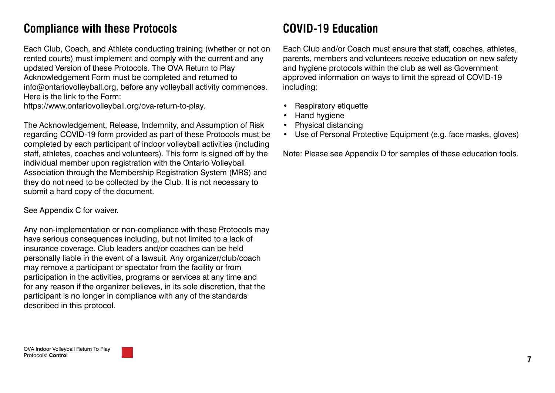## **Compliance with these Protocols**

Each Club, Coach, and Athlete conducting training (whether or not on rented courts) must implement and comply with the current and any updated Version of these Protocols. The OVA Return to Play Acknowledgement Form must be completed and returned to info@ontariovolleyball.org, before any volleyball activity commences. Here is the link to the Form:

https://www.ontariovolleyball.org/ova-return-to-play.

The Acknowledgement, Release, Indemnity, and Assumption of Risk regarding COVID-19 form provided as part of these Protocols must be completed by each participant of indoor volleyball activities (including staff, athletes, coaches and volunteers). This form is signed off by the individual member upon registration with the Ontario Volleyball Association through the Membership Registration System (MRS) and they do not need to be collected by the Club. It is not necessary to submit a hard copy of the document.

See Appendix C for waiver.

Any non-implementation or non-compliance with these Protocols may have serious consequences including, but not limited to a lack of insurance coverage. Club leaders and/or coaches can be held personally liable in the event of a lawsuit. Any organizer/club/coach may remove a participant or spectator from the facility or from participation in the activities, programs or services at any time and for any reason if the organizer believes, in its sole discretion, that the participant is no longer in compliance with any of the standards described in this protocol.

## **COVID-19 Education**

Each Club and/or Coach must ensure that staff, coaches, athletes, parents, members and volunteers receive education on new safety and hygiene protocols within the club as well as Government approved information on ways to limit the spread of COVID-19 including:

- **Respiratory etiquette**
- Hand hygiene
- Physical distancing
- Use of Personal Protective Equipment (e.g. face masks, gloves)

Note: Please see Appendix D for samples of these education tools.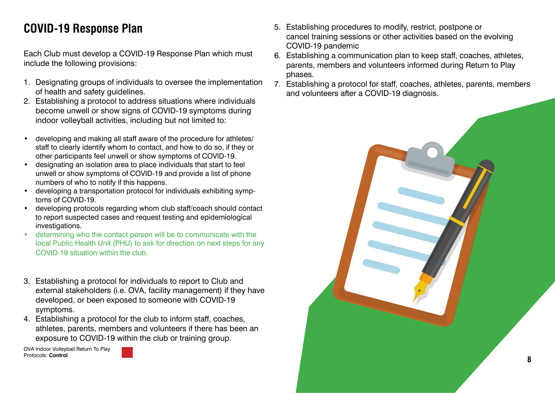## **COVID-19 Response Plan**

Each Club must develop a COVID-19 Response Plan which must include the following provisions:

- 1. Designating groups of individuals to oversee the implementation of health and safety guidelines.
- 2. Establishing a protocol to address situations where individuals become unwell or show signs of COVID-19 symptoms during indoor volleyball activities, including but not limited to:
- developing and making all staff aware of the procedure for athletes/ staff to clearly identify whom to contact, and how to do so, if they or other participants feel unwell or show symptoms of COVID-19.
- designating an isolation area to place individuals that start to feel unwell or show symptoms of COVID-19 and provide a list of phone numbers of who to notify if this happens.
- developing a transportation protocol for individuals exhibiting symptoms of COVID-19.
- developing protocols regarding whom club staff/coach should contact to report suspected cases and request testing and epidemiological investigations.
- determining who the contact person will be to communicate with the local Public Health Unit (PHU) to ask for direction on next steps for any COVID-19 situation within the club.
- 3. Establishing a protocol for individuals to report to Club and external stakeholders (i.e. OVA, facility management) if they have developed, or been exposed to someone with COVID-19 symptoms.
- 4. Establishing a protocol for the club to inform staff, coaches, athletes, parents, members and volunteers if there has been an exposure to COVID-19 within the club or training group.

- 5. Establishing procedures to modify, restrict, postpone or cancel training sessions or other activities based on the evolving COVID-19 pandemic
- 6. Establishing a communication plan to keep staff, coaches, athletes, parents, members and volunteers informed during Return to Play phases.
- 7. Establishing a protocol for staff, coaches, athletes, parents, members and volunteers after a COVID-19 diagnosis.

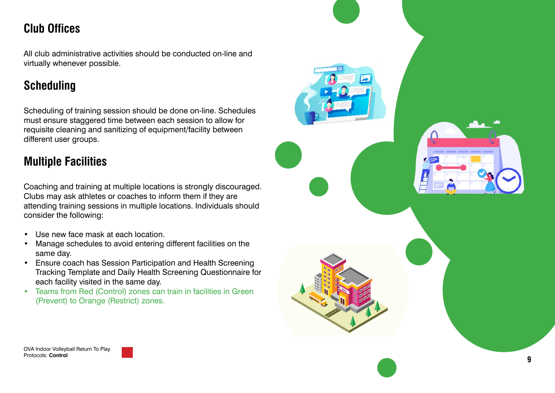## **Club Offices**

All club administrative activities should be conducted on-line and virtually whenever possible.

## **Scheduling**

Scheduling of training session should be done on-line. Schedules must ensure staggered time between each session to allow for requisite cleaning and sanitizing of equipment/facility between different user groups.

## **Multiple Facilities**

Coaching and training at multiple locations is strongly discouraged. Clubs may ask athletes or coaches to inform them if they are attending training sessions in multiple locations. Individuals should consider the following:

- Use new face mask at each location.
- Manage schedules to avoid entering different facilities on the same day .
- Ensure coach has Session Participation and Health Screening Tracking Template and Daily Health Screening Questionnaire for each facility visited in the same day.
- Teams from Red (Control) zones can train in facilities in Green (Prevent) to Orange (Restrict) zones.

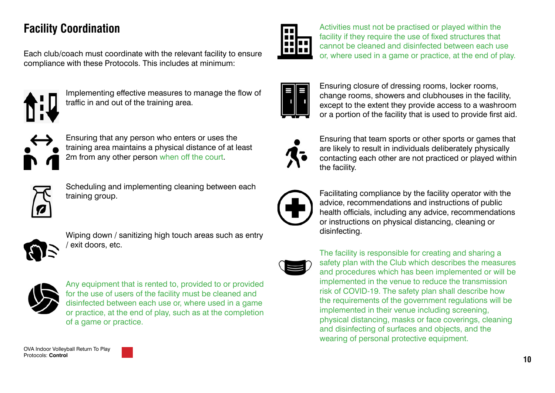## **Facility Coordination**

Each club/coach must coordinate with the relevant facility to ensure compliance with these Protocols. This includes at minimum:



Implementing effective measures to manage the flow of traffic in and out of the training area.



Ensuring that any person who enters or uses the training area maintains a physical distance of at least 2m from any other person when off the court.



Scheduling and implementing cleaning between each training group.



Wiping down / sanitizing high touch areas such as entry / exit doors, etc.



Any equipment that is rented to, provided to or provided for the use of users of the facility must be cleaned and disinfected between each use or, where used in a game or practice, at the end of play, such as at the completion of a game or practice.

Activities must not be practised or played within the facility if they require the use of fixed structures that cannot be cleaned and disinfected between each use or, where used in a game or practice, at the end of play.



Ensuring closure of dressing rooms, locker rooms, change rooms, showers and clubhouses in the facility, except to the extent they provide access to a washroom or a portion of the facility that is used to provide first aid.



Ensuring that team sports or other sports or games that are likely to result in individuals deliberately physically contacting each other are not practiced or played within the facility.



Facilitating compliance by the facility operator with the advice, recommendations and instructions of public health officials, including any advice, recommendations or instructions on physical distancing, cleaning or disinfecting.



The facility is responsible for creating and sharing a safety plan with the Club which describes the measures and procedures which has been implemented or will be implemented in the venue to reduce the transmission risk of COVID-19. The safety plan shall describe how the requirements of the government regulations will be implemented in their venue including screening, physical distancing, masks or face coverings, cleaning and disinfecting of surfaces and objects, and the wearing of personal protective equipment.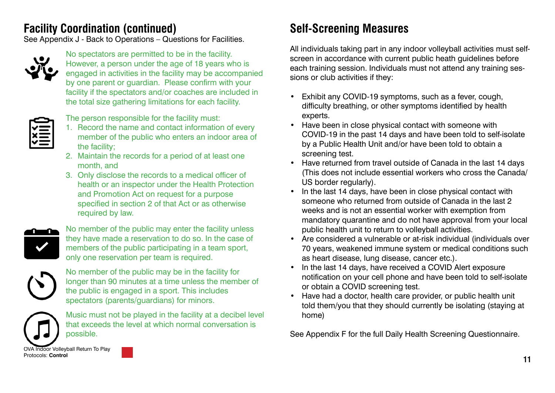## **Facility Coordination (continued) Self-Screening Measures**

See Appendix J - Back to Operations – Questions for Facilities.



No spectators are permitted to be in the facility. However, a person under the age of 18 years who is engaged in activities in the facility may be accompanied by one parent or guardian. Please confirm with your facility if the spectators and/or coaches are included in the total size gathering limitations for each facility.



The person responsible for the facility must:

- 1. Record the name and contact information of every member of the public who enters an indoor area of the facility;
- 2. Maintain the records for a period of at least one month, and
- 3. Only disclose the records to a medical officer of health or an inspector under the Health Protection and Promotion Act on request for a purpose specified in section 2 of that Act or as otherwise required by law.



No member of the public may enter the facility unless they have made a reservation to do so. In the case of members of the public participating in a team sport, only one reservation per team is required.



No member of the public may be in the facility for longer than 90 minutes at a time unless the member of the public is engaged in a sport. This includes spectators (parents/guardians) for minors.



Music must not be played in the facility at a decibel level that exceeds the level at which normal conversation is possible.

All individuals taking part in any indoor volleyball activities must selfscreen in accordance with current public heath guidelines before each training session. Individuals must not attend any training sessions or club activities if they:

- Exhibit any COVID-19 symptoms, such as a fever, cough, difficulty breathing, or other symptoms identified by health experts.
- Have been in close physical contact with someone with COVID-19 in the past 14 days and have been told to self-isolate by a Public Health Unit and/or have been told to obtain a screening test.
- Have returned from travel outside of Canada in the last 14 days (This does not include essential workers who cross the Canada/ US border regularly).
- In the last 14 days, have been in close physical contact with someone who returned from outside of Canada in the last 2 weeks and is not an essential worker with exemption from mandatory quarantine and do not have approval from your local public health unit to return to volleyball activities.
- Are considered a vulnerable or at-risk individual (individuals over 70 years, weakened immune system or medical conditions such as heart disease, lung disease, cancer etc.).
- In the last 14 days, have received a COVID Alert exposure notification on your cell phone and have been told to self-isolate or obtain a COVID screening test.
- Have had a doctor, health care provider, or public health unit told them/you that they should currently be isolating (staying at home)

See Appendix F for the full Daily Health Screening Questionnaire.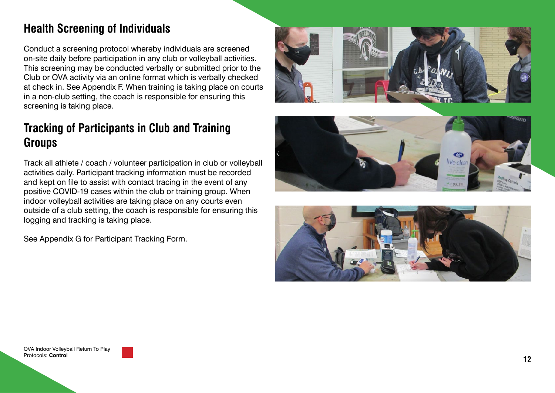## **Health Screening of Individuals**

Conduct a screening protocol whereby individuals are screened on-site daily before participation in any club or volleyball activities. This screening may be conducted verbally or submitted prior to the Club or OVA activity via an online format which is verbally checked at check in. See Appendix F. When training is taking place on courts in a non-club setting, the coach is responsible for ensuring this screening is taking place.

## **Tracking of Participants in Club and Training Groups**

Track all athlete / coach / volunteer participation in club or volleyball activities daily. Participant tracking information must be recorded and kept on file to assist with contact tracing in the event of any positive COVID-19 cases within the club or training group. When indoor volleyball activities are taking place on any courts even outside of a club setting, the coach is responsible for ensuring this logging and tracking is taking place.

See Appendix G for Participant Tracking Form.





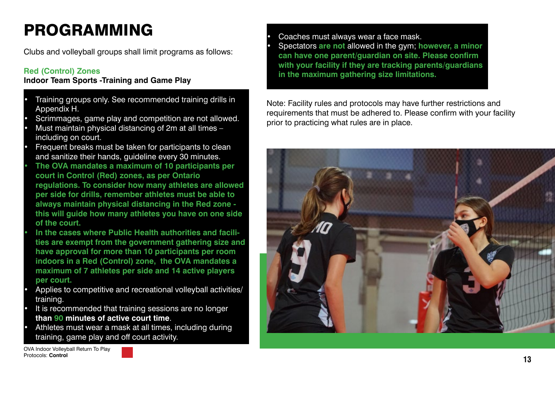## PROGRAMMING

Clubs and volleyball groups shall limit programs as follows:

#### **Red (Control) Zones**

#### **Indoor Team Sports -Training and Game Play**

- Training groups only. See recommended training drills in Appendix H.
- Scrimmages, game play and competition are not allowed.
- Must maintain physical distancing of 2m at all times including on court.
- Frequent breaks must be taken for participants to clean and sanitize their hands, guideline every 30 minutes. **• The OVA mandates a maximum of 10 participants per**
- **court in Control (Red) zones, as per Ontario regulations. To consider how many athletes are allowed per side for drills, remember athletes must be able to always maintain physical distancing in the Red zone this will guide how many athletes you have on one side of the court.**
- **• In the cases where Public Health authorities and facilities are exempt from the government gathering size and have approval for more than 10 participants per room indoors in a Red (Control) zone, the OVA mandates a maximum of 7 athletes per side and 14 active players per court.**
- Applies to competitive and recreational volleyball activities/ training.
- It is recommended that training sessions are no longer **than 90 minutes of active court time**.
- Athletes must wear a mask at all times, including during training, game play and off court activity.

OVA Indoor Volleyball Return To Play Protocols: **Control**



Note: Facility rules and protocols may have further restrictions and requirements that must be adhered to. Please confirm with your facility prior to practicing what rules are in place.

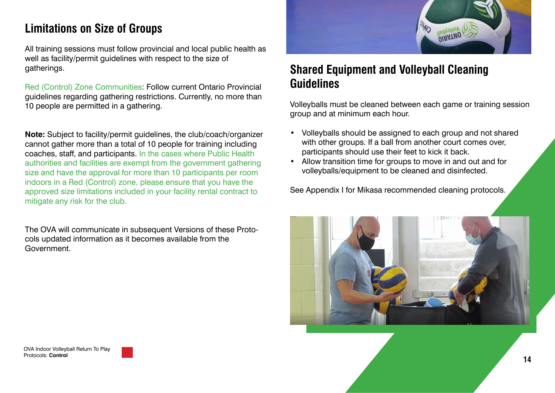## **Limitations on Size of Groups**

All training sessions must follow provincial and local public health as well as facility/permit guidelines with respect to the size of gatherings.

Red (Control) Zone Communities: Follow current Ontario Provincial guidelines regarding gathering restrictions. Currently, no more than 10 people are permitted in a gathering.

**Note:** Subject to facility/permit guidelines, the club/coach/organizer cannot gather more than a total of 10 people for training including coaches, staff, and participants. In the cases where Public Health authorities and facilities are exempt from the government gathering size and have the approval for more than 10 participants per room indoors in a Red (Control) zone, please ensure that you have the approved size limitations included in your facility rental contract to mitigate any risk for the club.

The OVA will communicate in subsequent Versions of these Protocols updated information as it becomes available from the Government.



## **Shared Equipment and Volleyball Cleaning Guidelines**

Volleyballs must be cleaned between each game or training session group and at minimum each hour.

- Volleyballs should be assigned to each group and not shared with other groups. If a ball from another court comes over, participants should use their feet to kick it back.
- Allow transition time for groups to move in and out and for volleyballs/equipment to be cleaned and disinfected.

See Appendix I for Mikasa recommended cleaning protocols.

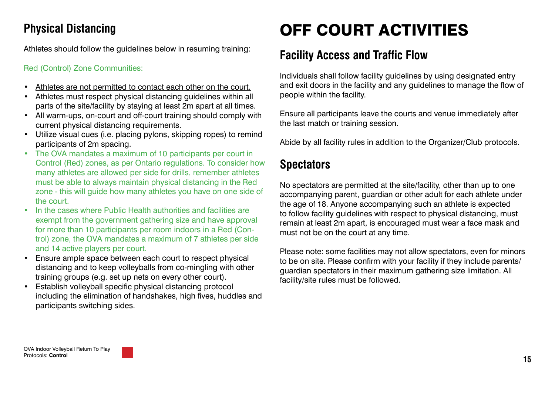## **Physical Distancing**

Athletes should follow the guidelines below in resuming training:

#### Red (Control) Zone Communities:

- Athletes are not permitted to contact each other on the court.
- Athletes must respect physical distancing guidelines within all parts of the site/facility by staying at least 2m apart at all times.
- All warm-ups, on-court and off-court training should comply with current physical distancing requirements.
- Utilize visual cues (i.e. placing pylons, skipping ropes) to remind participants of 2m spacing.
- The OVA mandates a maximum of 10 participants per court in Control (Red) zones, as per Ontario regulations. To consider how many athletes are allowed per side for drills, remember athletes must be able to always maintain physical distancing in the Red zone - this will guide how many athletes you have on one side of the court.
- In the cases where Public Health authorities and facilities are exempt from the government gathering size and have approval for more than 10 participants per room indoors in a Red (Control) zone, the OVA mandates a maximum of 7 athletes per side and 14 active players per court.
- Ensure ample space between each court to respect physical distancing and to keep volleyballs from co-mingling with other training groups (e.g. set up nets on every other court).
- Establish volleyball specific physical distancing protocol including the elimination of handshakes, high fives, huddles and participants switching sides.

# OFF COURT ACTIVITIES

## **Facility Access and Traffic Flow**

Individuals shall follow facility guidelines by using designated entry and exit doors in the facility and any guidelines to manage the flow of people within the facility.

Ensure all participants leave the courts and venue immediately after the last match or training session.

Abide by all facility rules in addition to the Organizer/Club protocols.

## **Spectators**

No spectators are permitted at the site/facility, other than up to one accompanying parent, guardian or other adult for each athlete under the age of 18. Anyone accompanying such an athlete is expected to follow facility guidelines with respect to physical distancing, must remain at least 2m apart, is encouraged must wear a face mask and must not be on the court at any time.

Please note: some facilities may not allow spectators, even for minors to be on site. Please confirm with your facility if they include parents/ guardian spectators in their maximum gathering size limitation. All facility/site rules must be followed.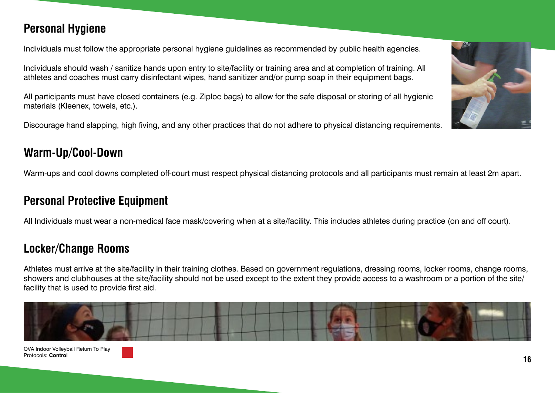#### OVA Indoor Volleyball Return To Play Protocols: **Control**

Individuals should wash / sanitize hands upon entry to site/facility or training area and at completion of training. All athletes and coaches must carry disinfectant wipes, hand sanitizer and/or pump soap in their equipment bags.

All participants must have closed containers (e.g. Ziploc bags) to allow for the safe disposal or storing of all hygienic materials (Kleenex, towels, etc.).

Individuals must follow the appropriate personal hygiene guidelines as recommended by public health agencies.

Discourage hand slapping, high fiving, and any other practices that do not adhere to physical distancing requirements.

## **Warm-Up/Cool-Down**

**Personal Hygiene**

Warm-ups and cool downs completed off-court must respect physical distancing protocols and all participants must remain at least 2m apart.

### **Personal Protective Equipment**

All Individuals must wear a non-medical face mask/covering when at a site/facility. This includes athletes during practice (on and off court).

## **Locker/Change Rooms**

Athletes must arrive at the site/facility in their training clothes. Based on government regulations, dressing rooms, locker rooms, change rooms, showers and clubhouses at the site/facility should not be used except to the extent they provide access to a washroom or a portion of the site/ facility that is used to provide first aid.



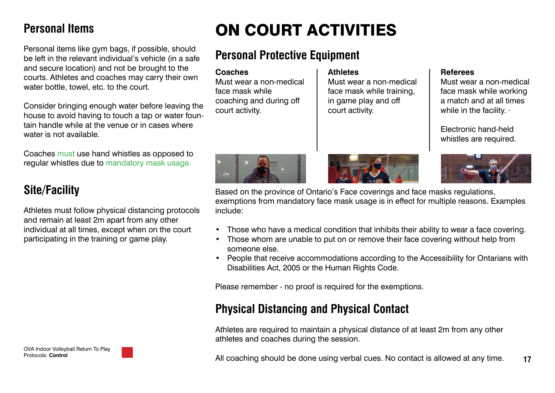### **Personal Items**

Personal items like gym bags, if possible, should be left in the relevant individual's vehicle (in a safe and secure location) and not be brought to the courts. Athletes and coaches may carry their own water bottle, towel, etc. to the court.

Consider bringing enough water before leaving the house to avoid having to touch a tap or water fountain handle while at the venue or in cases where water is not available.

Coaches must use hand whistles as opposed to regular whistles due to mandatory mask usage.

## **Site/Facility**

Athletes must follow physical distancing protocols and remain at least 2m apart from any other individual at all times, except when on the court participating in the training or game play.

OVA Indoor Volleyball Return To Play Protocols: **Control**

## ON COURT ACTIVITIES

## **Personal Protective Equipment**

| <b>Coaches</b>          | <b>Athletes</b>           | <b>Referees</b>                                |
|-------------------------|---------------------------|------------------------------------------------|
| Must wear a non-medical | Must wear a non-medical   | Must wear a non-medical                        |
| face mask while         | face mask while training, | face mask while working                        |
| coaching and during off | in game play and off      | a match and at all times                       |
| court activity.         | court activity.           | while in the facility. $\cdot$                 |
|                         |                           | Electronic hand-held<br>whistles are required. |







Based on the province of Ontario's Face coverings and face masks regulations, exemptions from mandatory face mask usage is in effect for multiple reasons. Examples include:

- Those who have a medical condition that inhibits their ability to wear a face covering.
- Those whom are unable to put on or remove their face covering without help from someone else.
- People that receive accommodations according to the Accessibility for Ontarians with Disabilities Act, 2005 or the Human Rights Code.

Please remember - no proof is required for the exemptions.

### **Physical Distancing and Physical Contact**

Athletes are required to maintain a physical distance of at least 2m from any other athletes and coaches during the session.